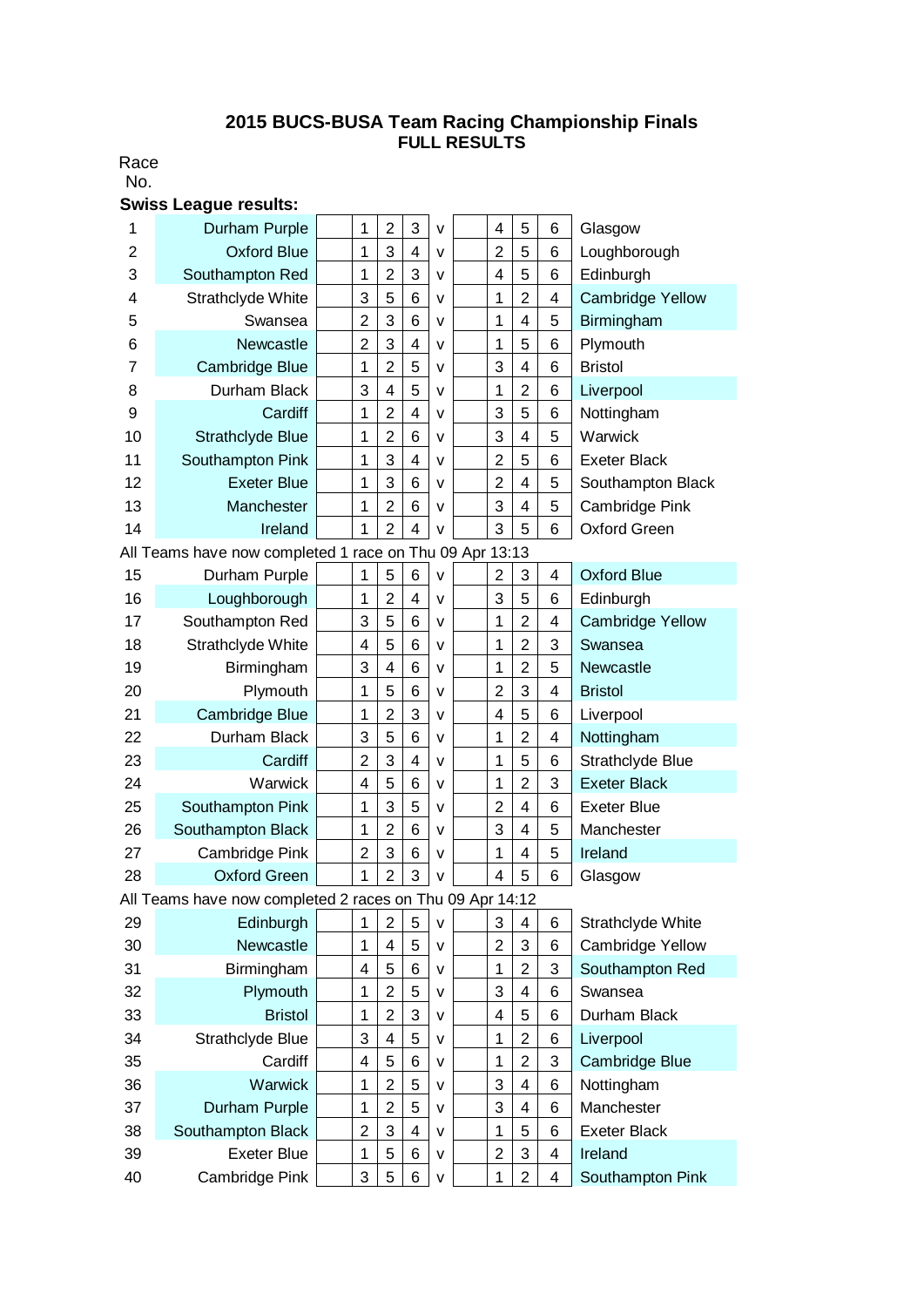## **2015 BUCS-BUSA Team Racing Championship Finals FULL RESULTS**

Race No.

|                                                         | <b>Swiss League results:</b>                             |  |                |                         |                |              |  |                |                         |                |                         |  |  |
|---------------------------------------------------------|----------------------------------------------------------|--|----------------|-------------------------|----------------|--------------|--|----------------|-------------------------|----------------|-------------------------|--|--|
| 1                                                       | Durham Purple                                            |  | 1              | $\overline{2}$          | 3              | $\mathsf{V}$ |  | 4              | 5                       | 6              | Glasgow                 |  |  |
| 2                                                       | <b>Oxford Blue</b>                                       |  | 1              | 3                       | 4              | v            |  | $\overline{2}$ | 5                       | 6              | Loughborough            |  |  |
| 3                                                       | Southampton Red                                          |  | 1              | $\overline{2}$          | 3              | $\mathsf{v}$ |  | 4              | 5                       | 6              | Edinburgh               |  |  |
| 4                                                       | Strathclyde White                                        |  | 3              | 5                       | 6              | v            |  | 1              | $\overline{2}$          | 4              | <b>Cambridge Yellow</b> |  |  |
| 5                                                       | Swansea                                                  |  | $\overline{2}$ | 3                       | 6              | v            |  | 1              | 4                       | 5              | Birmingham              |  |  |
| 6                                                       | Newcastle                                                |  | $\overline{2}$ | 3                       | 4              | v            |  | 1              | 5                       | 6              | Plymouth                |  |  |
| $\overline{7}$                                          | Cambridge Blue                                           |  | $\mathbf 1$    | $\overline{2}$          | 5              | v            |  | 3              | $\overline{4}$          | 6              | <b>Bristol</b>          |  |  |
| 8                                                       | Durham Black                                             |  | 3              | $\overline{\mathbf{4}}$ | 5              | v            |  | 1              | $\overline{2}$          | 6              | Liverpool               |  |  |
| 9                                                       | Cardiff                                                  |  | 1              | $\overline{2}$          | 4              | v            |  | 3              | 5                       | 6              | Nottingham              |  |  |
| 10                                                      | Strathclyde Blue                                         |  | 1              | $\overline{2}$          | 6              | v            |  | 3              | 4                       | 5              | Warwick                 |  |  |
| 11                                                      | Southampton Pink                                         |  | $\mathbf{1}$   | 3                       | 4              | v            |  | $\overline{2}$ | 5                       | 6              | <b>Exeter Black</b>     |  |  |
| 12                                                      | <b>Exeter Blue</b>                                       |  | 1              | 3                       | 6              | v            |  | $\overline{2}$ | $\overline{4}$          | 5              | Southampton Black       |  |  |
| 13                                                      | Manchester                                               |  | $\mathbf{1}$   | $\overline{2}$          | 6              | v            |  | 3              | $\overline{4}$          | 5              | Cambridge Pink          |  |  |
| 14                                                      | Ireland                                                  |  | 1              | $\overline{2}$          | 4              | V            |  | 3              | 5                       | 6              | <b>Oxford Green</b>     |  |  |
| All Teams have now completed 1 race on Thu 09 Apr 13:13 |                                                          |  |                |                         |                |              |  |                |                         |                |                         |  |  |
| 15                                                      | Durham Purple                                            |  | 1              | 5                       | 6              | $\mathsf{v}$ |  | $\overline{2}$ | 3                       | 4              | <b>Oxford Blue</b>      |  |  |
| 16                                                      | Loughborough                                             |  | $\mathbf 1$    | $\overline{2}$          | 4              | v            |  | 3              | 5                       | 6              | Edinburgh               |  |  |
| 17                                                      | Southampton Red                                          |  | 3              | 5                       | 6              | v            |  | 1              | $\overline{2}$          | 4              | <b>Cambridge Yellow</b> |  |  |
| 18                                                      | Strathclyde White                                        |  | 4              | 5                       | 6              | v            |  | 1              | $\overline{2}$          | 3              | Swansea                 |  |  |
| 19                                                      | Birmingham                                               |  | 3              | $\overline{4}$          | 6              | v            |  | 1              | $\overline{2}$          | 5              | Newcastle               |  |  |
| 20                                                      | Plymouth                                                 |  | $\mathbf 1$    | 5                       | 6              | v            |  | $\overline{2}$ | 3                       | 4              | <b>Bristol</b>          |  |  |
| 21                                                      | Cambridge Blue                                           |  | 1              | $\overline{2}$          | 3              | v            |  | 4              | 5                       | 6              | Liverpool               |  |  |
| 22                                                      | Durham Black                                             |  | 3              | 5                       | 6              | v            |  | 1              | $\overline{2}$          | $\overline{4}$ | Nottingham              |  |  |
| 23                                                      | Cardiff                                                  |  | $\overline{2}$ | 3                       | $\overline{4}$ | v            |  | 1              | 5                       | 6              | Strathclyde Blue        |  |  |
| 24                                                      | Warwick                                                  |  | 4              | 5                       | 6              | v            |  | 1              | $\overline{2}$          | 3              | <b>Exeter Black</b>     |  |  |
| 25                                                      | Southampton Pink                                         |  | 1              | 3                       | 5              | v            |  | $\overline{2}$ | $\overline{4}$          | 6              | <b>Exeter Blue</b>      |  |  |
| 26                                                      | Southampton Black                                        |  | 1              | $\overline{2}$          | 6              | v            |  | 3              | 4                       | 5              | Manchester              |  |  |
| 27                                                      | Cambridge Pink                                           |  | $\overline{2}$ | 3                       | 6              | v            |  | 1              | 4                       | 5              | Ireland                 |  |  |
| 28                                                      | <b>Oxford Green</b>                                      |  | 1              | $\overline{2}$          | 3              | V            |  | 4              | 5                       | 6              | Glasgow                 |  |  |
|                                                         | All Teams have now completed 2 races on Thu 09 Apr 14:12 |  |                |                         |                |              |  |                |                         |                |                         |  |  |
| 29                                                      | Edinburgh                                                |  | 1              | 2                       | 5              | $\mathsf{V}$ |  | 3              | 4                       | 6              | Strathclyde White       |  |  |
| 30                                                      | Newcastle                                                |  | 1              | 4                       | 5              | v            |  | $\overline{2}$ | 3                       | 6              | Cambridge Yellow        |  |  |
| 31                                                      | Birmingham                                               |  | 4              | 5                       | 6              | v            |  | $\mathbf 1$    | $\overline{2}$          | 3              | Southampton Red         |  |  |
| 32                                                      | Plymouth                                                 |  | $\mathbf{1}$   | $\overline{2}$          | 5              | v            |  | 3              | 4                       | 6              | Swansea                 |  |  |
| 33                                                      | <b>Bristol</b>                                           |  | 1              | $\overline{2}$          | 3              | v            |  | 4              | 5                       | 6              | Durham Black            |  |  |
| 34                                                      | Strathclyde Blue                                         |  | 3              | $\overline{\mathbf{4}}$ | 5              | v            |  | 1              | $\overline{2}$          | 6              | Liverpool               |  |  |
| 35                                                      | Cardiff                                                  |  | 4              | 5                       | 6              | v            |  | 1              | $\overline{2}$          | 3              | Cambridge Blue          |  |  |
| 36                                                      | <b>Warwick</b>                                           |  | $\mathbf{1}$   | $\overline{2}$          | 5              | v            |  | 3              | $\overline{\mathbf{4}}$ | 6              | Nottingham              |  |  |
| 37                                                      | Durham Purple                                            |  | 1              | $\overline{2}$          | 5              | v            |  | 3              | $\overline{\mathbf{4}}$ | 6              | Manchester              |  |  |
| 38                                                      | Southampton Black                                        |  | $\overline{2}$ | 3                       | 4              | v            |  | 1              | 5                       | 6              | <b>Exeter Black</b>     |  |  |
| 39                                                      | <b>Exeter Blue</b>                                       |  | $\mathbf 1$    | 5                       | 6              | v            |  | $\overline{2}$ | 3                       | 4              | Ireland                 |  |  |
| 40                                                      | Cambridge Pink                                           |  | 3              | 5                       | 6              | ۷            |  | $\mathbf 1$    | $\overline{2}$          | $\overline{4}$ | Southampton Pink        |  |  |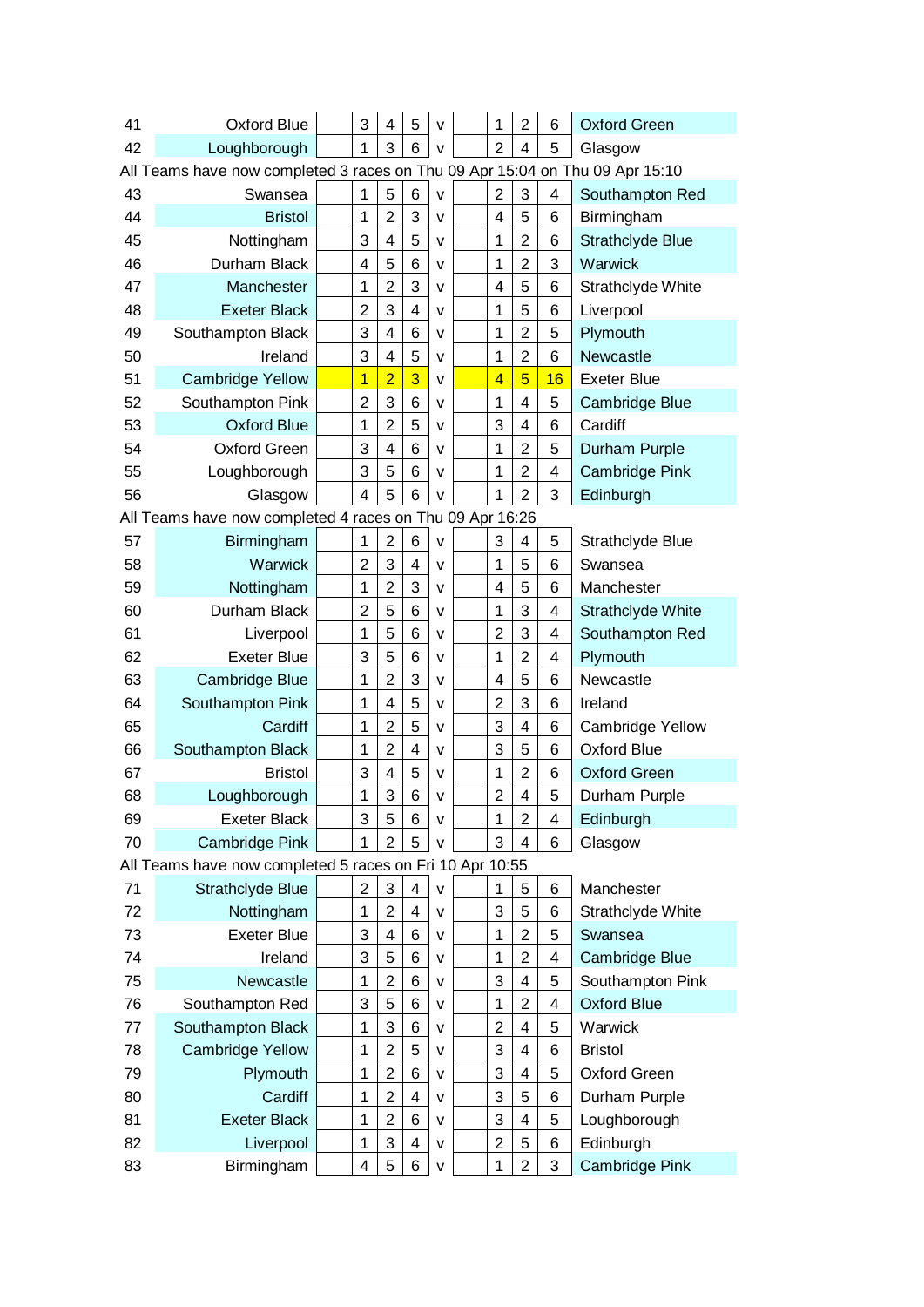| 41 | Oxford Blue                                                                  |  | 3                       | 4              | 5                       | v            |  | 1              | $\overline{2}$          | 6  | <b>Oxford Green</b>   |  |  |
|----|------------------------------------------------------------------------------|--|-------------------------|----------------|-------------------------|--------------|--|----------------|-------------------------|----|-----------------------|--|--|
| 42 | Loughborough                                                                 |  | 1                       | 3              | 6                       | V            |  | $\overline{2}$ | 4                       | 5  | Glasgow               |  |  |
|    | All Teams have now completed 3 races on Thu 09 Apr 15:04 on Thu 09 Apr 15:10 |  |                         |                |                         |              |  |                |                         |    |                       |  |  |
| 43 | Swansea                                                                      |  | 1                       | 5              | 6                       | $\mathsf{V}$ |  | $\overline{2}$ | 3                       | 4  | Southampton Red       |  |  |
| 44 | <b>Bristol</b>                                                               |  | 1                       | $\overline{2}$ | 3                       | v            |  | 4              | 5                       | 6  | Birmingham            |  |  |
| 45 | Nottingham                                                                   |  | 3                       | 4              | 5                       | v            |  | 1              | $\overline{2}$          | 6  | Strathclyde Blue      |  |  |
| 46 | Durham Black                                                                 |  | 4                       | 5              | 6                       | v            |  | 1              | $\overline{2}$          | 3  | Warwick               |  |  |
| 47 | Manchester                                                                   |  | 1                       | $\overline{c}$ | 3                       | v            |  | 4              | 5                       | 6  | Strathclyde White     |  |  |
| 48 | <b>Exeter Black</b>                                                          |  | $\overline{2}$          | 3              | 4                       | v            |  | 1              | 5                       | 6  | Liverpool             |  |  |
| 49 | Southampton Black                                                            |  | 3                       | 4              | 6                       | v            |  | 1              | $\overline{c}$          | 5  | Plymouth              |  |  |
| 50 | Ireland                                                                      |  | 3                       | 4              | 5                       | v            |  | 1              | $\overline{2}$          | 6  | Newcastle             |  |  |
| 51 | <b>Cambridge Yellow</b>                                                      |  | $\overline{1}$          | $\overline{2}$ | 3                       | v            |  | $\overline{4}$ | 5                       | 16 | <b>Exeter Blue</b>    |  |  |
| 52 | Southampton Pink                                                             |  | $\overline{2}$          | 3              | 6                       | v            |  | 1              | $\overline{\mathbf{4}}$ | 5  | Cambridge Blue        |  |  |
| 53 | <b>Oxford Blue</b>                                                           |  | 1                       | $\overline{2}$ | 5                       | v            |  | 3              | $\overline{\mathbf{4}}$ | 6  | Cardiff               |  |  |
| 54 | <b>Oxford Green</b>                                                          |  | 3                       | 4              | 6                       | v            |  | 1              | $\overline{2}$          | 5  | Durham Purple         |  |  |
| 55 | Loughborough                                                                 |  | 3                       | 5              | 6                       | v            |  | 1              | $\overline{2}$          | 4  | <b>Cambridge Pink</b> |  |  |
| 56 | Glasgow                                                                      |  | $\overline{\mathbf{4}}$ | 5              | 6                       | V            |  | 1              | 2                       | 3  | Edinburgh             |  |  |
|    | All Teams have now completed 4 races on Thu 09 Apr 16:26                     |  |                         |                |                         |              |  |                |                         |    |                       |  |  |
| 57 | Birmingham                                                                   |  | 1                       | $\overline{2}$ | 6                       | $\mathsf{V}$ |  | 3              | 4                       | 5  | Strathclyde Blue      |  |  |
| 58 | Warwick                                                                      |  | $\overline{2}$          | 3              | 4                       | v            |  | 1              | 5                       | 6  | Swansea               |  |  |
| 59 | Nottingham                                                                   |  | 1                       | $\overline{2}$ | 3                       | v            |  | 4              | 5                       | 6  | Manchester            |  |  |
| 60 | Durham Black                                                                 |  | $\overline{2}$          | 5              | 6                       | v            |  | 1              | 3                       | 4  | Strathclyde White     |  |  |
| 61 | Liverpool                                                                    |  | 1                       | 5              | 6                       | v            |  | $\overline{2}$ | 3                       | 4  | Southampton Red       |  |  |
| 62 | <b>Exeter Blue</b>                                                           |  | 3                       | 5              | 6                       | v            |  | 1              | $\overline{2}$          | 4  | Plymouth              |  |  |
| 63 | Cambridge Blue                                                               |  | 1                       | $\overline{2}$ | 3                       | v            |  | 4              | 5                       | 6  | Newcastle             |  |  |
| 64 | Southampton Pink                                                             |  | 1                       | 4              | 5                       | v            |  | $\overline{2}$ | 3                       | 6  | Ireland               |  |  |
| 65 | Cardiff                                                                      |  | 1                       | $\overline{2}$ | 5                       | v            |  | 3              | $\overline{4}$          | 6  | Cambridge Yellow      |  |  |
| 66 | Southampton Black                                                            |  | 1                       | $\overline{2}$ | 4                       | v            |  | 3              | 5                       | 6  | <b>Oxford Blue</b>    |  |  |
| 67 | <b>Bristol</b>                                                               |  | 3                       | 4              | 5                       | v            |  | 1              | $\overline{2}$          | 6  | <b>Oxford Green</b>   |  |  |
| 68 | Loughborough                                                                 |  | 1                       | 3              | 6                       | V            |  | $\overline{2}$ | 4                       | 5  | Durham Purple         |  |  |
| 69 | <b>Exeter Black</b>                                                          |  | 3                       | 5              | 6                       | v            |  | 1              | $\overline{2}$          | 4  | Edinburgh             |  |  |
| 70 | Cambridge Pink                                                               |  | 1                       | $\overline{2}$ | 5                       | v            |  | 3              | 4                       | 6  | Glasgow               |  |  |
|    | All Teams have now completed 5 races on Fri 10 Apr 10:55                     |  |                         |                |                         |              |  |                |                         |    |                       |  |  |
| 71 | Strathclyde Blue                                                             |  | $\overline{2}$          | 3              | 4                       | $\mathsf{V}$ |  | 1              | 5                       | 6  | Manchester            |  |  |
| 72 | Nottingham                                                                   |  | 1                       | $\overline{2}$ | $\overline{\mathbf{4}}$ | v            |  | 3              | 5                       | 6  | Strathclyde White     |  |  |
| 73 | <b>Exeter Blue</b>                                                           |  | 3                       | 4              | 6                       | v            |  | 1              | $\overline{2}$          | 5  | Swansea               |  |  |
| 74 | Ireland                                                                      |  | 3                       | 5              | 6                       | v            |  | 1              | $\overline{2}$          | 4  | Cambridge Blue        |  |  |
| 75 | Newcastle                                                                    |  | 1                       | $\overline{2}$ | 6                       | v            |  | 3              | 4                       | 5  | Southampton Pink      |  |  |
| 76 | Southampton Red                                                              |  | 3                       | 5              | 6                       | v            |  | 1              | $\overline{2}$          | 4  | <b>Oxford Blue</b>    |  |  |
| 77 | Southampton Black                                                            |  | 1                       | 3              | 6                       | v            |  | $\overline{2}$ | 4                       | 5  | Warwick               |  |  |
| 78 | <b>Cambridge Yellow</b>                                                      |  | 1                       | $\overline{c}$ | 5                       | v            |  | 3              | 4                       | 6  | <b>Bristol</b>        |  |  |
| 79 | Plymouth                                                                     |  | 1                       | $\overline{c}$ | 6                       | v            |  | 3              | $\overline{\mathbf{4}}$ | 5  | <b>Oxford Green</b>   |  |  |
| 80 | Cardiff                                                                      |  | 1                       | $\overline{c}$ | 4                       | v            |  | 3              | 5                       | 6  | Durham Purple         |  |  |
| 81 | <b>Exeter Black</b>                                                          |  | 1                       | $\overline{2}$ | 6                       | v            |  | 3              | $\overline{\mathbf{4}}$ | 5  | Loughborough          |  |  |
| 82 | Liverpool                                                                    |  | 1                       | 3              | 4                       | v            |  | $\overline{2}$ | 5                       | 6  | Edinburgh             |  |  |
| 83 | Birmingham                                                                   |  | 4                       | 5              | 6                       | V            |  | 1              | $\overline{2}$          | 3  | Cambridge Pink        |  |  |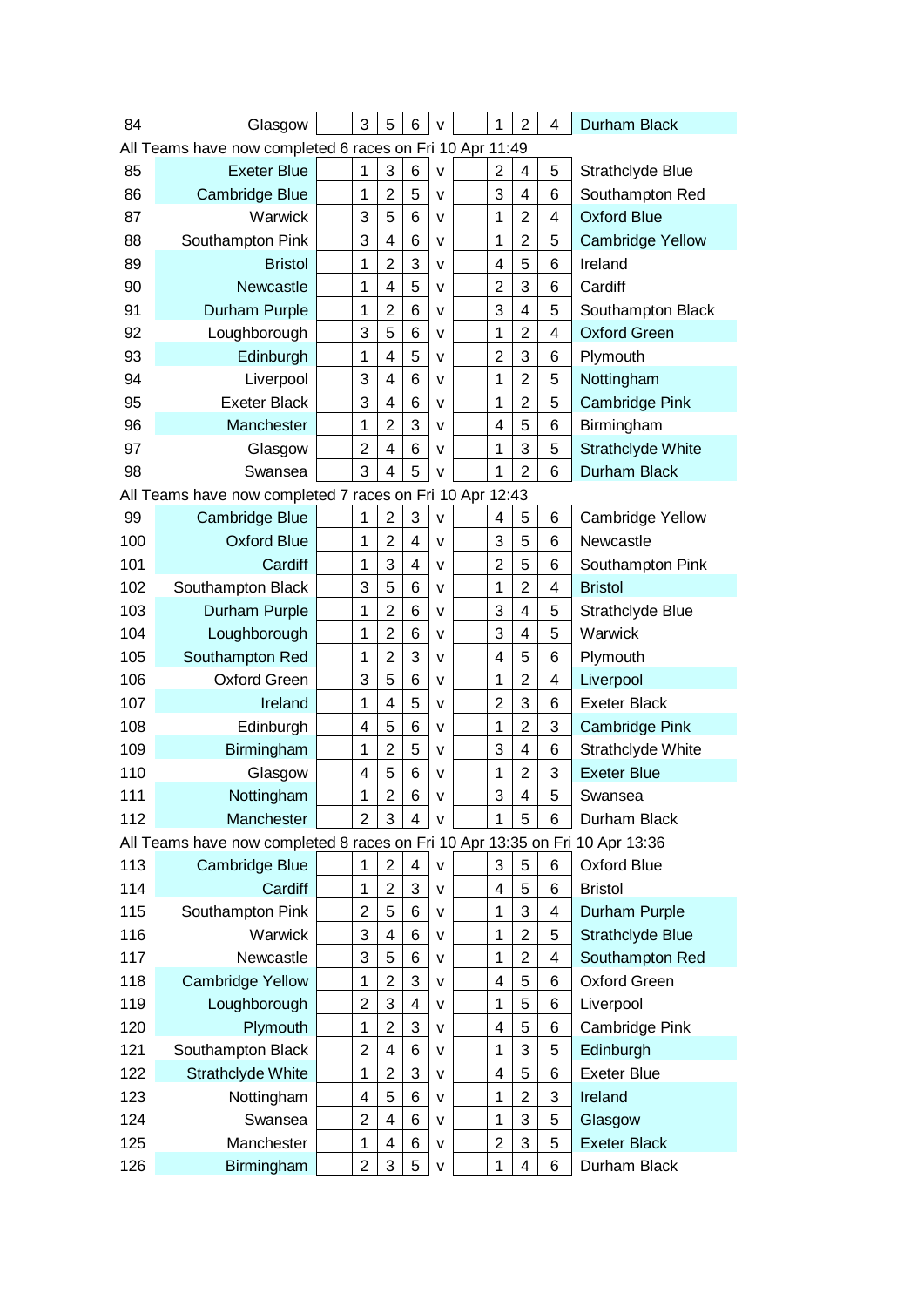| 84  | Glasgow                                                                      | 3              | 5              | 6                       | $\vee$       | 1              | $\overline{2}$ | 4 | Durham Black             |
|-----|------------------------------------------------------------------------------|----------------|----------------|-------------------------|--------------|----------------|----------------|---|--------------------------|
|     | All Teams have now completed 6 races on Fri 10 Apr 11:49                     |                |                |                         |              |                |                |   |                          |
| 85  | <b>Exeter Blue</b>                                                           | $\mathbf{1}$   | 3              | $6\phantom{1}6$         | $\mathsf{v}$ | $\overline{2}$ | 4              | 5 | Strathclyde Blue         |
| 86  | Cambridge Blue                                                               | 1              | $\overline{2}$ | 5                       | v            | 3              | 4              | 6 | Southampton Red          |
| 87  | Warwick                                                                      | 3              | 5              | 6                       | v            | 1              | $\overline{2}$ | 4 | <b>Oxford Blue</b>       |
| 88  | Southampton Pink                                                             | 3              | 4              | 6                       | v            | 1              | $\overline{2}$ | 5 | <b>Cambridge Yellow</b>  |
| 89  | <b>Bristol</b>                                                               | 1              | $\overline{2}$ | 3                       | v            | 4              | 5              | 6 | Ireland                  |
| 90  | Newcastle                                                                    | 1              | 4              | 5                       | v            | $\overline{2}$ | 3              | 6 | Cardiff                  |
| 91  | Durham Purple                                                                | 1              | $\overline{2}$ | 6                       | v            | 3              | 4              | 5 | Southampton Black        |
| 92  | Loughborough                                                                 | 3              | 5              | 6                       | v            | 1              | $\overline{2}$ | 4 | <b>Oxford Green</b>      |
| 93  | Edinburgh                                                                    | 1              | 4              | 5                       | v            | $\overline{2}$ | 3              | 6 | Plymouth                 |
| 94  | Liverpool                                                                    | 3              | 4              | 6                       | v            | 1              | $\overline{2}$ | 5 | Nottingham               |
| 95  | <b>Exeter Black</b>                                                          | 3              | 4              | 6                       | v            | 1              | $\overline{2}$ | 5 | <b>Cambridge Pink</b>    |
| 96  | Manchester                                                                   | 1              | $\overline{2}$ | 3                       | v            | 4              | 5              | 6 | Birmingham               |
| 97  | Glasgow                                                                      | $\overline{2}$ | 4              | 6                       | v            | 1              | 3              | 5 | <b>Strathclyde White</b> |
| 98  | Swansea                                                                      | 3              | 4              | 5                       | $\mathsf{v}$ | 1              | $\overline{2}$ | 6 | Durham Black             |
|     | All Teams have now completed 7 races on Fri 10 Apr 12:43                     |                |                |                         |              |                |                |   |                          |
| 99  | Cambridge Blue                                                               | 1              | $\overline{c}$ | 3                       | $\mathsf{v}$ | 4              | 5              | 6 | <b>Cambridge Yellow</b>  |
| 100 | <b>Oxford Blue</b>                                                           | 1              | $\overline{c}$ | 4                       | $\mathsf{v}$ | 3              | 5              | 6 | Newcastle                |
| 101 | Cardiff                                                                      | 1              | 3              | $\overline{\mathbf{4}}$ | $\mathsf{v}$ | $\overline{2}$ | 5              | 6 | Southampton Pink         |
| 102 | Southampton Black                                                            | 3              | 5              | 6                       | v            | 1              | $\overline{2}$ | 4 | <b>Bristol</b>           |
| 103 | Durham Purple                                                                | 1              | $\overline{2}$ | $6\phantom{1}6$         | v            | 3              | 4              | 5 | Strathclyde Blue         |
| 104 | Loughborough                                                                 | $\mathbf 1$    | $\overline{2}$ | 6                       | v            | 3              | 4              | 5 | Warwick                  |
| 105 | Southampton Red                                                              | 1              | $\overline{2}$ | 3                       | v            | 4              | 5              | 6 | Plymouth                 |
| 106 | Oxford Green                                                                 | 3              | 5              | 6                       | v            | 1              | $\overline{2}$ | 4 | Liverpool                |
| 107 | Ireland                                                                      | 1              | 4              | 5                       | v            | $\overline{2}$ | 3              | 6 | <b>Exeter Black</b>      |
| 108 | Edinburgh                                                                    | 4              | 5              | 6                       | v            | 1              | $\overline{2}$ | 3 | <b>Cambridge Pink</b>    |
| 109 | Birmingham                                                                   | 1              | $\overline{2}$ | 5                       | v            | 3              | 4              | 6 | Strathclyde White        |
| 110 | Glasgow                                                                      | 4              | 5              | 6                       | v            | 1              | $\overline{2}$ | 3 | <b>Exeter Blue</b>       |
| 111 | Nottingham                                                                   | 1              | $\overline{2}$ | 6                       | v            | 3              | 4              | 5 | Swansea                  |
| 112 | Manchester                                                                   | $\overline{2}$ | 3              | 4                       | v            | 1              | 5              | 6 | Durham Black             |
|     | All Teams have now completed 8 races on Fri 10 Apr 13:35 on Fri 10 Apr 13:36 |                |                |                         |              |                |                |   |                          |
| 113 | Cambridge Blue                                                               | 1              | $\overline{2}$ | 4                       | $\mathsf{v}$ | 3              | 5              | 6 | Oxford Blue              |
| 114 | Cardiff                                                                      | 1              | $\overline{2}$ | 3                       | $\mathsf{v}$ | 4              | 5              | 6 | <b>Bristol</b>           |
| 115 | Southampton Pink                                                             | $\overline{2}$ | 5              | 6                       | v            | 1              | 3              | 4 | Durham Purple            |
| 116 | Warwick                                                                      | 3              | 4              | 6                       | v            | 1              | $\overline{2}$ | 5 | Strathclyde Blue         |
| 117 | Newcastle                                                                    | 3              | 5              | 6                       | v            | 1              | $\overline{c}$ | 4 | Southampton Red          |
| 118 | <b>Cambridge Yellow</b>                                                      | $\mathbf 1$    | $\overline{2}$ | 3                       | v            | 4              | 5              | 6 | <b>Oxford Green</b>      |
| 119 | Loughborough                                                                 | $\overline{2}$ | 3              | 4                       | v            | 1              | 5              | 6 | Liverpool                |
| 120 | Plymouth                                                                     | $\mathbf 1$    | $\overline{2}$ | 3                       | v            | 4              | 5              | 6 | Cambridge Pink           |
| 121 | Southampton Black                                                            | $\overline{2}$ | 4              | 6                       | v            | 1              | 3              | 5 | Edinburgh                |
| 122 | Strathclyde White                                                            | $\mathbf 1$    | $\overline{2}$ | 3                       | v            | 4              | 5              | 6 | <b>Exeter Blue</b>       |
| 123 | Nottingham                                                                   | 4              | 5              | 6                       | v            | 1              | $\overline{2}$ | 3 | Ireland                  |
| 124 | Swansea                                                                      | $\overline{2}$ | 4              | 6                       | v            | 1              | 3              | 5 | Glasgow                  |
| 125 | Manchester                                                                   | $\mathbf{1}$   | 4              | 6                       | v            | $\overline{2}$ | 3              | 5 | <b>Exeter Black</b>      |
| 126 | Birmingham                                                                   | $\overline{2}$ | 3              | 5                       | $\sf V$      | 1              | 4              | 6 | Durham Black             |
|     |                                                                              |                |                |                         |              |                |                |   |                          |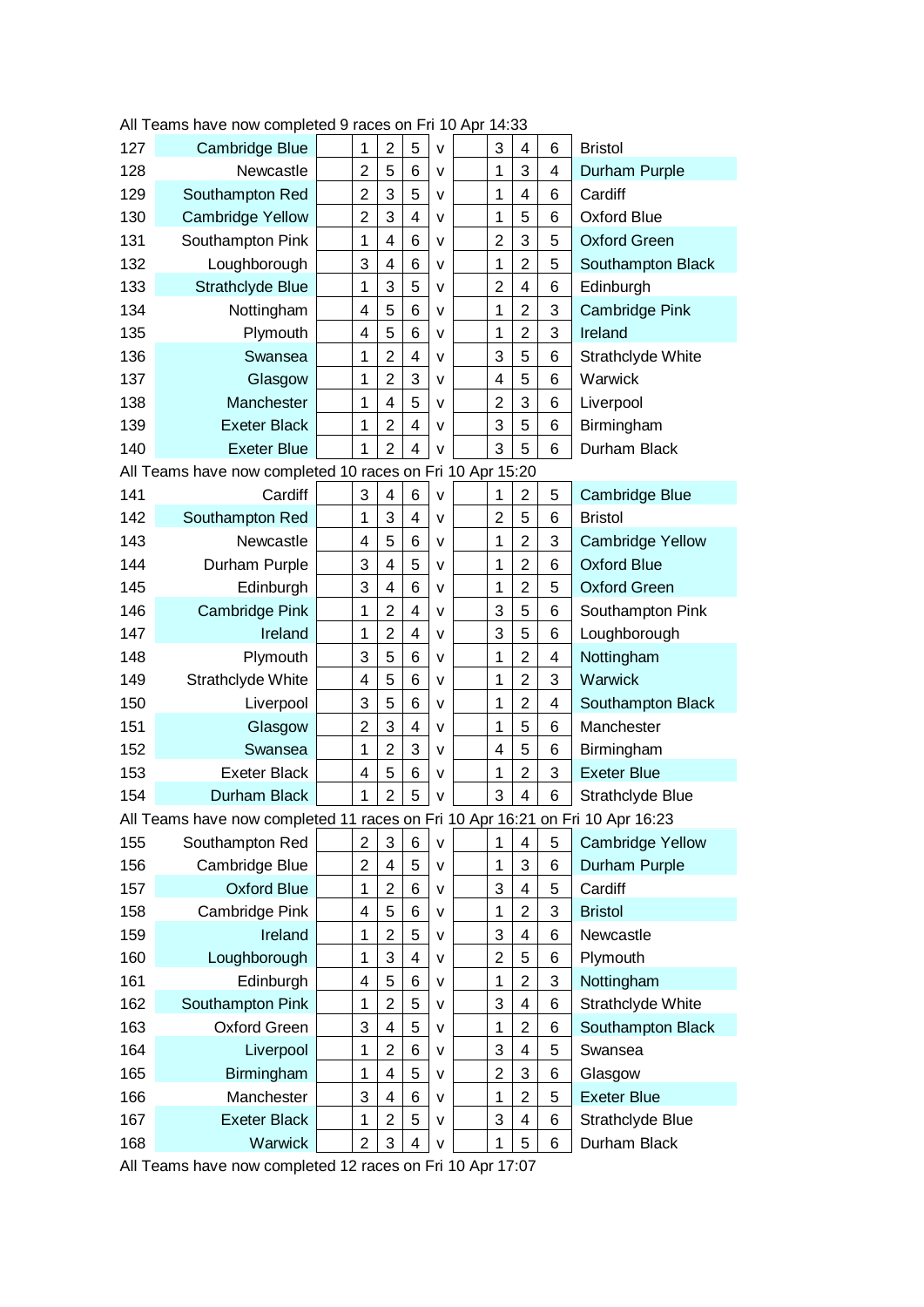| 127 | Cambridge Blue                                                                | 1                       | $\overline{2}$          | 5                       | v | 3                         | 4              | 6 | <b>Bristol</b>          |
|-----|-------------------------------------------------------------------------------|-------------------------|-------------------------|-------------------------|---|---------------------------|----------------|---|-------------------------|
| 128 | Newcastle                                                                     | $\overline{2}$          | 5                       | 6                       | v | 1                         | 3              | 4 | Durham Purple           |
| 129 | Southampton Red                                                               | $\overline{2}$          | 3                       | 5                       | v | 1                         | 4              | 6 | Cardiff                 |
| 130 | <b>Cambridge Yellow</b>                                                       | $\overline{2}$          | 3                       | $\overline{\mathbf{4}}$ | v | 1                         | 5              | 6 | <b>Oxford Blue</b>      |
| 131 | Southampton Pink                                                              | 1                       | 4                       | 6                       | v | $\overline{2}$            | 3              | 5 | <b>Oxford Green</b>     |
| 132 | Loughborough                                                                  | 3                       | 4                       | 6                       | v | 1                         | $\overline{2}$ | 5 | Southampton Black       |
| 133 | Strathclyde Blue                                                              | 1                       | 3                       | 5                       | v | $\overline{2}$            | 4              | 6 | Edinburgh               |
| 134 | Nottingham                                                                    | 4                       | 5                       | 6                       | v | 1                         | $\overline{2}$ | 3 | <b>Cambridge Pink</b>   |
| 135 | Plymouth                                                                      | 4                       | 5                       | 6                       | v | 1                         | $\overline{2}$ | 3 | Ireland                 |
| 136 | Swansea                                                                       | 1                       | $\overline{2}$          | 4                       | v | 3                         | 5              | 6 | Strathclyde White       |
| 137 | Glasgow                                                                       | 1                       | $\overline{2}$          | 3                       | v | 4                         | 5              | 6 | Warwick                 |
| 138 | Manchester                                                                    | 1                       | 4                       | 5                       | v | $\overline{2}$            | 3              | 6 | Liverpool               |
| 139 | <b>Exeter Black</b>                                                           | 1                       | $\overline{2}$          | 4                       | v | 3                         | 5              | 6 | Birmingham              |
| 140 | <b>Exeter Blue</b>                                                            | 1                       | $\overline{2}$          | 4                       | v | 3                         | 5              | 6 | Durham Black            |
|     | All Teams have now completed 10 races on Fri 10 Apr 15:20                     |                         |                         |                         |   |                           |                |   |                         |
| 141 | Cardiff                                                                       | 3                       | 4                       | 6                       | v | 1                         | $\overline{2}$ | 5 | Cambridge Blue          |
| 142 | Southampton Red                                                               | 1                       | 3                       | 4                       | v | $\overline{2}$            | 5              | 6 | <b>Bristol</b>          |
| 143 | Newcastle                                                                     | 4                       | 5                       | 6                       | v | 1                         | $\overline{2}$ | 3 | <b>Cambridge Yellow</b> |
| 144 | Durham Purple                                                                 | 3                       | 4                       | 5                       | v | 1                         | $\overline{2}$ | 6 | <b>Oxford Blue</b>      |
| 145 | Edinburgh                                                                     | 3                       | 4                       | 6                       | v | 1                         | $\overline{2}$ | 5 | <b>Oxford Green</b>     |
| 146 | Cambridge Pink                                                                | 1                       | $\overline{2}$          | $\overline{\mathbf{4}}$ | v | 3                         | 5              | 6 | Southampton Pink        |
| 147 | Ireland                                                                       | 1                       | $\overline{2}$          | 4                       | v | 3                         | 5              | 6 | Loughborough            |
| 148 | Plymouth                                                                      | 3                       | 5                       | 6                       | v | 1                         | $\overline{2}$ | 4 | Nottingham              |
| 149 | Strathclyde White                                                             | $\overline{\mathbf{4}}$ | 5                       | 6                       | v | 1                         | $\overline{2}$ | 3 | Warwick                 |
| 150 | Liverpool                                                                     | 3                       | 5                       | 6                       | v | 1                         | $\overline{2}$ | 4 | Southampton Black       |
| 151 | Glasgow                                                                       | $\overline{2}$          | 3                       | 4                       | v | 1                         | 5              | 6 | Manchester              |
| 152 | Swansea                                                                       | 1                       | $\overline{2}$          | 3                       | v | $\overline{4}$            | 5              | 6 | Birmingham              |
| 153 | <b>Exeter Black</b>                                                           | $\overline{4}$          | 5                       | 6                       | v | 1                         | $\overline{2}$ | 3 | <b>Exeter Blue</b>      |
| 154 | Durham Black                                                                  | 1                       | $\overline{2}$          | 5                       | v | 3                         | 4              | 6 | Strathclyde Blue        |
|     | All Teams have now completed 11 races on Fri 10 Apr 16:21 on Fri 10 Apr 16:23 |                         |                         |                         |   |                           |                |   |                         |
| 155 | Southampton Red                                                               | $\overline{c}$          | 3                       | 6                       | v | 1                         | 4              | 5 | <b>Cambridge Yellow</b> |
| 156 | Cambridge Blue                                                                | 2                       | 4                       | 5                       | v | 1                         | 3              | 6 | Durham Purple           |
| 157 | <b>Oxford Blue</b>                                                            | 1                       | $\overline{2}$          | 6                       | v | 3                         | 4              | 5 | Cardiff                 |
| 158 | Cambridge Pink                                                                | 4                       | 5                       | 6                       | v | 1                         | $\overline{2}$ | 3 | <b>Bristol</b>          |
| 159 | Ireland                                                                       | 1                       | $\overline{2}$          | 5                       | v | 3                         | 4              | 6 | Newcastle               |
| 160 | Loughborough                                                                  | 1                       | 3                       | 4                       | v | $\overline{2}$            | 5              | 6 | Plymouth                |
| 161 | Edinburgh                                                                     | 4                       | 5                       | 6                       | v | 1                         | $\overline{2}$ | 3 | Nottingham              |
| 162 | Southampton Pink                                                              | 1                       | $\overline{c}$          | 5                       | v | $\ensuremath{\mathsf{3}}$ | 4              | 6 | Strathclyde White       |
| 163 | Oxford Green                                                                  | 3                       | $\overline{\mathbf{4}}$ | 5                       | v | 1                         | $\overline{2}$ | 6 | Southampton Black       |
| 164 | Liverpool                                                                     | 1                       | $\overline{2}$          | 6                       | v | 3                         | 4              | 5 | Swansea                 |
| 165 | Birmingham                                                                    | 1                       | 4                       | 5                       | v | $\overline{2}$            | 3              | 6 | Glasgow                 |
| 166 | Manchester                                                                    | 3                       | 4                       | 6                       | v | 1                         | $\overline{2}$ | 5 | <b>Exeter Blue</b>      |
| 167 | <b>Exeter Black</b>                                                           | 1                       | $\overline{2}$          | 5                       | v | 3                         | 4              | 6 | Strathclyde Blue        |
| 168 | Warwick                                                                       | $\overline{2}$          | 3                       | 4                       | v | 1                         | 5              | 6 | Durham Black            |

All Teams have now completed 9 races on Fri 10 Apr 14:33

All Teams have now completed 12 races on Fri 10 Apr 17:07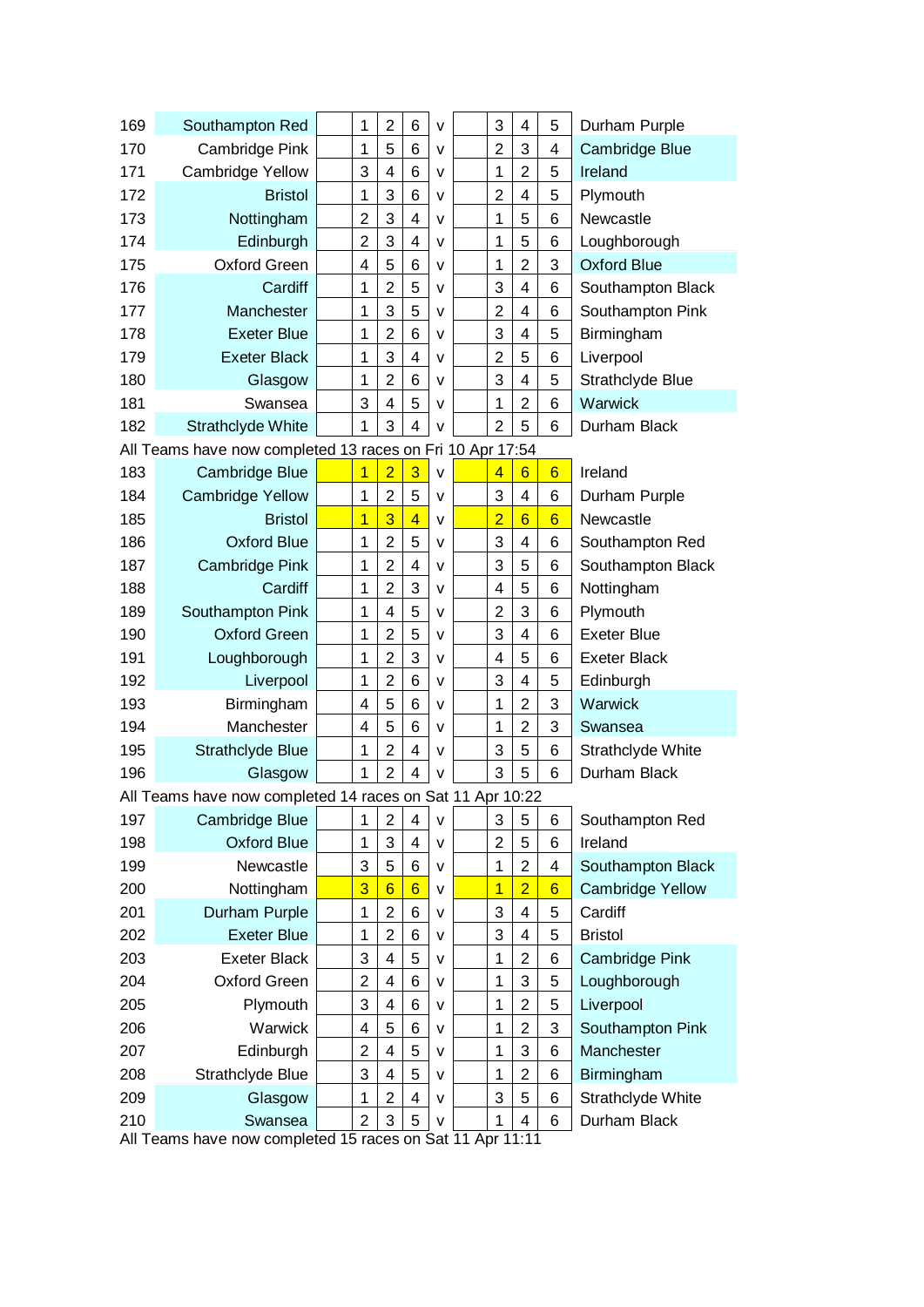| 169                                                       | Southampton Red                                           |  | 1              | $\overline{2}$          | 6              | v            |  | 3              | 4               | 5               | Durham Purple           |  |
|-----------------------------------------------------------|-----------------------------------------------------------|--|----------------|-------------------------|----------------|--------------|--|----------------|-----------------|-----------------|-------------------------|--|
| 170                                                       | Cambridge Pink                                            |  | 1              | 5                       | 6              | v            |  | $\overline{2}$ | 3               | 4               | Cambridge Blue          |  |
| 171                                                       | Cambridge Yellow                                          |  | 3              | $\overline{\mathbf{4}}$ | 6              | v            |  | 1              | $\overline{2}$  | 5               | Ireland                 |  |
| 172                                                       | <b>Bristol</b>                                            |  | 1              | 3                       | 6              | v            |  | $\overline{2}$ | 4               | 5               | Plymouth                |  |
| 173                                                       | Nottingham                                                |  | $\overline{2}$ | 3                       | 4              | v            |  | 1              | 5               | 6               | Newcastle               |  |
| 174                                                       | Edinburgh                                                 |  | $\overline{2}$ | 3                       | 4              | v            |  | 1              | 5               | 6               | Loughborough            |  |
| 175                                                       | Oxford Green                                              |  | 4              | 5                       | 6              | v            |  | 1              | $\overline{2}$  | 3               | <b>Oxford Blue</b>      |  |
| 176                                                       | Cardiff                                                   |  | 1              | $\overline{c}$          | 5              | v            |  | 3              | $\overline{4}$  | 6               | Southampton Black       |  |
| 177                                                       | Manchester                                                |  | $\mathbf{1}$   | 3                       | 5              | v            |  | $\overline{2}$ | 4               | 6               | Southampton Pink        |  |
| 178                                                       | <b>Exeter Blue</b>                                        |  | 1              | $\overline{2}$          | 6              | v            |  | 3              | 4               | 5               | Birmingham              |  |
| 179                                                       | <b>Exeter Black</b>                                       |  | 1              | 3                       | 4              | v            |  | $\overline{2}$ | 5               | 6               | Liverpool               |  |
| 180                                                       | Glasgow                                                   |  | 1              | $\overline{2}$          | 6              | v            |  | 3              | 4               | 5               | Strathclyde Blue        |  |
| 181                                                       | Swansea                                                   |  | 3              | $\overline{\mathbf{4}}$ | 5              | v            |  | 1              | $\overline{2}$  | 6               | Warwick                 |  |
| 182                                                       | <b>Strathclyde White</b>                                  |  | 1              | 3                       | 4              | V            |  | $\overline{2}$ | 5               | 6               | Durham Black            |  |
| All Teams have now completed 13 races on Fri 10 Apr 17:54 |                                                           |  |                |                         |                |              |  |                |                 |                 |                         |  |
| 183                                                       | Cambridge Blue                                            |  | 1              | $\overline{2}$          | 3              | $\mathsf{V}$ |  | $\overline{4}$ | $6\phantom{1}$  | $6\overline{6}$ | Ireland                 |  |
| 184                                                       | <b>Cambridge Yellow</b>                                   |  | 1              | $\overline{2}$          | 5              | v            |  | 3              | 4               | 6               | Durham Purple           |  |
| 185                                                       | <b>Bristol</b>                                            |  | $\overline{1}$ | 3                       | $\overline{4}$ | v            |  | $\overline{2}$ | $6\overline{6}$ | $6\overline{6}$ | Newcastle               |  |
| 186                                                       | <b>Oxford Blue</b>                                        |  | 1              | $\overline{2}$          | 5              | v            |  | 3              | 4               | 6               | Southampton Red         |  |
| 187                                                       | Cambridge Pink                                            |  | 1              | $\overline{2}$          | 4              | v            |  | 3              | 5               | 6               | Southampton Black       |  |
| 188                                                       | Cardiff                                                   |  | 1              | $\overline{2}$          | 3              | v            |  | 4              | 5               | 6               | Nottingham              |  |
| 189                                                       | Southampton Pink                                          |  | 1              | 4                       | 5              | v            |  | $\overline{2}$ | 3               | 6               | Plymouth                |  |
| 190                                                       | <b>Oxford Green</b>                                       |  | 1              | $\overline{c}$          | 5              | v            |  | 3              | 4               | 6               | <b>Exeter Blue</b>      |  |
| 191                                                       | Loughborough                                              |  | 1              | $\overline{2}$          | 3              | v            |  | 4              | 5               | 6               | <b>Exeter Black</b>     |  |
| 192                                                       | Liverpool                                                 |  | 1              | $\overline{2}$          | 6              | v            |  | 3              | 4               | 5               | Edinburgh               |  |
| 193                                                       | Birmingham                                                |  | 4              | 5                       | 6              | v            |  | 1              | $\overline{2}$  | 3               | Warwick                 |  |
| 194                                                       | Manchester                                                |  | 4              | 5                       | 6              | v            |  | 1              | $\overline{2}$  | 3               | Swansea                 |  |
| 195                                                       | Strathclyde Blue                                          |  | 1              | $\overline{2}$          | 4              | v            |  | 3              | 5               | 6               | Strathclyde White       |  |
| 196                                                       | Glasgow                                                   |  | 1              | $\overline{2}$          | 4              | v            |  | 3              | 5               | 6               | Durham Black            |  |
|                                                           | All Teams have now completed 14 races on Sat 11 Apr 10:22 |  |                |                         |                |              |  |                |                 |                 |                         |  |
| 197                                                       | Cambridge Blue                                            |  | 1              | $\overline{2}$          | 4              | v            |  | 3              | 5               | 6               | Southampton Red         |  |
| 198                                                       | <b>Oxford Blue</b>                                        |  | 1              | 3                       | 4              | v            |  | $\overline{2}$ | 5               | 6               | Ireland                 |  |
| 199                                                       | Newcastle                                                 |  | 3              | 5                       | 6              | v            |  | 1              | $\overline{2}$  | 4               | Southampton Black       |  |
| 200                                                       | Nottingham                                                |  | 3              | $\overline{6}$          | $\overline{6}$ | v            |  | 1              | $\overline{2}$  | $6\overline{6}$ | <b>Cambridge Yellow</b> |  |
| 201                                                       | Durham Purple                                             |  | 1              | $\overline{c}$          | 6              | v            |  | 3              | $\overline{4}$  | 5               | Cardiff                 |  |
| 202                                                       | <b>Exeter Blue</b>                                        |  | 1              | $\overline{2}$          | 6              | v            |  | 3              | 4               | 5               | <b>Bristol</b>          |  |
| 203                                                       | <b>Exeter Black</b>                                       |  | 3              | 4                       | 5              | v            |  | 1              | $\overline{2}$  | 6               | Cambridge Pink          |  |
| 204                                                       | <b>Oxford Green</b>                                       |  | $\overline{2}$ | $\overline{4}$          | 6              | v            |  | 1              | 3               | 5               | Loughborough            |  |
| 205                                                       | Plymouth                                                  |  | 3              | $\overline{4}$          | 6              | v            |  | 1              | 2               | 5               | Liverpool               |  |
| 206                                                       | Warwick                                                   |  | 4              | 5                       | 6              | v            |  | 1              | 2               | 3               | Southampton Pink        |  |
| 207                                                       | Edinburgh                                                 |  | 2              | $\overline{4}$          | 5              | v            |  | 1              | 3               | 6               | Manchester              |  |
| 208                                                       | Strathclyde Blue                                          |  | 3              | 4                       | 5              | v            |  | 1              | $\overline{2}$  | 6               | Birmingham              |  |
| 209                                                       | Glasgow                                                   |  | 1              | $\overline{c}$          | 4              | v            |  | 3              | 5               | 6               | Strathclyde White       |  |
| 210                                                       | Swansea                                                   |  | $\overline{2}$ | 3                       | 5              | v            |  | 1              | 4               | 6               | Durham Black            |  |
|                                                           | All Teams have now completed 15 races on Sat 11 Apr 11:11 |  |                |                         |                |              |  |                |                 |                 |                         |  |

All Teams have now completed 15 races on Sat 11 Apr 11:11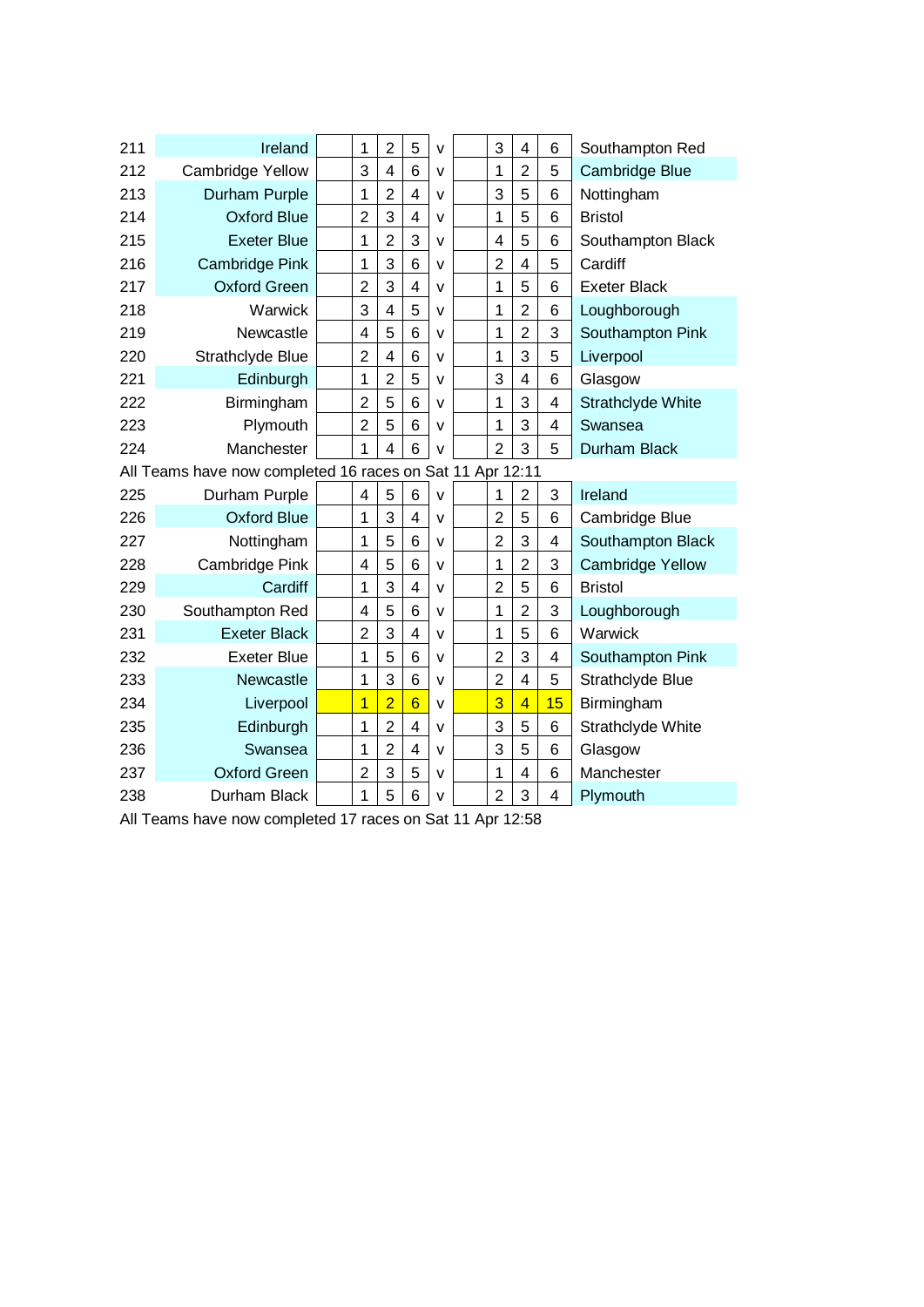| 211                                                       | Ireland                 |  | 1              | $\overline{2}$          | 5              | $\mathsf{v}$ |  | 3              | $\overline{4}$ | $6\phantom{1}6$         | Southampton Red          |  |
|-----------------------------------------------------------|-------------------------|--|----------------|-------------------------|----------------|--------------|--|----------------|----------------|-------------------------|--------------------------|--|
| 212                                                       | <b>Cambridge Yellow</b> |  | 3              | $\overline{\mathbf{4}}$ | 6              | $\mathsf{v}$ |  | 1              | $\overline{2}$ | 5                       | Cambridge Blue           |  |
| 213                                                       | Durham Purple           |  | 1              | $\overline{2}$          | $\overline{4}$ | $\mathsf{v}$ |  | 3              | 5              | 6                       | Nottingham               |  |
| 214                                                       | <b>Oxford Blue</b>      |  | $\overline{2}$ | 3                       | 4              | $\vee$       |  | $\mathbf{1}$   | 5              | 6                       | <b>Bristol</b>           |  |
| 215                                                       | <b>Exeter Blue</b>      |  | 1              | $\overline{2}$          | 3              | v            |  | 4              | 5              | 6                       | Southampton Black        |  |
| 216                                                       | Cambridge Pink          |  | 1              | 3                       | 6              | $\mathsf{v}$ |  | $\overline{2}$ | 4              | 5                       | Cardiff                  |  |
| 217                                                       | <b>Oxford Green</b>     |  | $\overline{2}$ | 3                       | 4              | $\mathsf{V}$ |  | $\overline{1}$ | 5              | $6\phantom{1}6$         | <b>Exeter Black</b>      |  |
| 218                                                       | Warwick                 |  | 3              | 4                       | 5              | $\mathsf{v}$ |  | $\mathbf{1}$   | $\overline{2}$ | $6\phantom{1}6$         | Loughborough             |  |
| 219                                                       | Newcastle               |  | 4              | 5                       | 6              | $\mathsf{v}$ |  | 1              | $\overline{2}$ | 3                       | Southampton Pink         |  |
| 220                                                       | Strathclyde Blue        |  | $\overline{2}$ | $\overline{4}$          | 6              | $\mathsf{v}$ |  | $\mathbf{1}$   | 3              | 5                       | Liverpool                |  |
| 221                                                       | Edinburgh               |  | $\mathbf 1$    | $\overline{2}$          | 5              | $\mathsf{v}$ |  | 3              | $\overline{4}$ | 6                       | Glasgow                  |  |
| 222                                                       | Birmingham              |  | $\overline{2}$ | 5                       | 6              | $\mathsf{v}$ |  | $\overline{1}$ | 3              | $\overline{\mathbf{4}}$ | <b>Strathclyde White</b> |  |
| 223                                                       | Plymouth                |  | $\overline{2}$ | 5                       | 6              | $\vee$       |  | $\overline{1}$ | 3              | $\overline{4}$          | Swansea                  |  |
| 224                                                       | Manchester              |  | 1              | $\overline{4}$          | 6              | v            |  | $\overline{2}$ | 3              | 5                       | Durham Black             |  |
| All Teams have now completed 16 races on Sat 11 Apr 12:11 |                         |  |                |                         |                |              |  |                |                |                         |                          |  |
| 225                                                       | Durham Purple           |  | 4              | 5                       | 6              | $\mathsf{v}$ |  | 1              | $\overline{2}$ | 3                       | Ireland                  |  |
| 226                                                       | <b>Oxford Blue</b>      |  | 1              | 3                       | $\overline{4}$ | $\mathsf{v}$ |  | $\overline{2}$ | 5              | $6\phantom{1}6$         | Cambridge Blue           |  |
| 227                                                       | Nottingham              |  | 1              | 5                       | 6              | v            |  | $\overline{2}$ | 3              | 4                       | Southampton Black        |  |
| 228                                                       | Cambridge Pink          |  | 4              | 5                       | 6              | v            |  | $\mathbf 1$    | $\overline{2}$ | 3                       | <b>Cambridge Yellow</b>  |  |
| 229                                                       | Cardiff                 |  | 1              | 3                       | 4              | $\mathsf{v}$ |  | $\overline{2}$ | 5              | $6\phantom{1}6$         | <b>Bristol</b>           |  |
| 230                                                       | Southampton Red         |  | 4              | 5                       | 6              | v            |  | 1              | $\overline{2}$ | 3                       | Loughborough             |  |
| 231                                                       | <b>Exeter Black</b>     |  | $\overline{2}$ | 3                       | $\overline{4}$ | $\vee$       |  | 1              | 5              | $6\phantom{1}6$         | Warwick                  |  |
| 232                                                       | <b>Exeter Blue</b>      |  | 1              | 5                       | 6              | $\mathsf{v}$ |  | $\overline{2}$ | 3              | 4                       | Southampton Pink         |  |
| 233                                                       | Newcastle               |  | 1              | 3                       | 6              | $\mathsf{v}$ |  | $\overline{2}$ | $\overline{4}$ | 5                       | Strathclyde Blue         |  |
| 234                                                       | Liverpool               |  | 1              | $\overline{2}$          | $\overline{6}$ | $\mathsf{v}$ |  | $\overline{3}$ | $\overline{4}$ | 15                      | Birmingham               |  |
| 235                                                       | Edinburgh               |  | 1              | $\overline{2}$          | 4              | v            |  | 3              | 5              | 6                       | Strathclyde White        |  |
| 236                                                       | Swansea                 |  | 1              | $\overline{2}$          | 4              | $\vee$       |  | 3              | 5              | $6\phantom{1}6$         | Glasgow                  |  |
| 237                                                       | <b>Oxford Green</b>     |  | $\overline{2}$ | 3                       | 5              | v            |  | 1              | $\overline{4}$ | $6\phantom{1}6$         | Manchester               |  |
| 238                                                       | Durham Black            |  | 1              | 5                       | 6              | $\vee$       |  | $\overline{2}$ | 3              | $\overline{4}$          | Plymouth                 |  |

All Teams have now completed 17 races on Sat 11 Apr 12:58